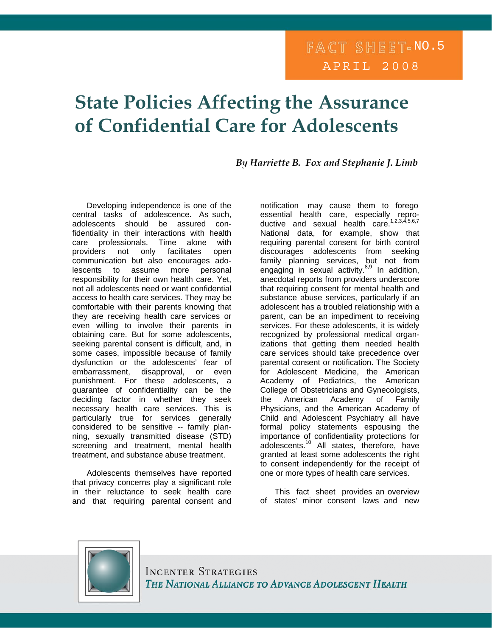## FACT SHEET-NO.5 APRIL 2008

# **State Policies Affecting the Assurance of Confidential Care for Adolescents**

*By Harriette B. Fox and Stephanie J. Limb* 

Developing independence is one of the central tasks of adolescence. As such, adolescents should be assured confidentiality in their interactions with health care professionals. Time alone with providers not only facilitates open communication but also encourages adolescents to assume more personal responsibility for their own health care. Yet, not all adolescents need or want confidential access to health care services. They may be comfortable with their parents knowing that they are receiving health care services or even willing to involve their parents in obtaining care. But for some adolescents, seeking parental consent is difficult, and, in some cases, impossible because of family dysfunction or the adolescents' fear of embarrassment, disapproval, or even punishment. For these adolescents, a guarantee of confidentiality can be the deciding factor in whether they seek necessary health care services. This is particularly true for services generally considered to be sensitive -- family planning, sexually transmitted disease (STD) screening and treatment, mental health treatment, and substance abuse treatment.

Adolescents themselves have reported that privacy concerns play a significant role in their reluctance to seek health care and that requiring parental consent and

notification may cause them to forego essential health care, especially reproductive and sexual health care.<sup>1,2,3,4,5,6,7</sup> National data, for example, show that requiring parental consent for birth control discourages adolescents from seeking family planning services, but not from engaging in sexual activity. $8,9$  In addition, anecdotal reports from providers underscore that requiring consent for mental health and substance abuse services, particularly if an adolescent has a troubled relationship with a parent, can be an impediment to receiving services. For these adolescents, it is widely recognized by professional medical organizations that getting them needed health care services should take precedence over parental consent or notification. The Society for Adolescent Medicine, the American Academy of Pediatrics, the American College of Obstetricians and Gynecologists, the American Academy of Family Physicians, and the American Academy of Child and Adolescent Psychiatry all have formal policy statements espousing the importance of confidentiality protections for adolescents.<sup>10</sup> All states, therefore, have granted at least some adolescents the right to consent independently for the receipt of one or more types of health care services.

 This fact sheet provides an overview of states' minor consent laws and new



**INCENTER STRATEGIES** THE NATIONAL ALLIANCE TO ADVANCE ADOLESCENT HEALTH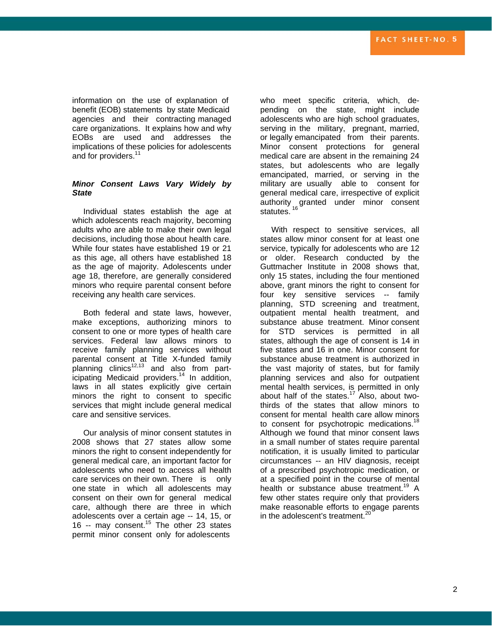information on the use of explanation of benefit (EOB) statements by state Medicaid agencies and their contracting managed care organizations. It explains how and why EOBs are used and addresses the implications of these policies for adolescents and for providers.<sup>11</sup>

#### *Minor Consent Laws Vary Widely by State*

 Individual states establish the age at which adolescents reach majority, becoming adults who are able to make their own legal decisions, including those about health care. While four states have established 19 or 21 as this age, all others have established 18 as the age of majority. Adolescents under age 18, therefore, are generally considered minors who require parental consent before receiving any health care services.

 Both federal and state laws, however, make exceptions, authorizing minors to consent to one or more types of health care services. Federal law allows minors to receive family planning services without parental consent at Title X-funded family planning clinics<sup>12,13</sup> and also from participating Medicaid providers.14 In addition, laws in all states explicitly give certain minors the right to consent to specific services that might include general medical care and sensitive services.

Our analysis of minor consent statutes in 2008 shows that 27 states allow some minors the right to consent independently for general medical care, an important factor for adolescents who need to access all health care services on their own. There is only one state in which all adolescents may consent on their own for general medical care, although there are three in which adolescents over a certain age -- 14, 15, or 16 -- may consent.15 The other 23 states permit minor consent only for adolescents

who meet specific criteria, which, depending on the state, might include adolescents who are high school graduates, serving in the military, pregnant, married, or legally emancipated from their parents. Minor consent protections for general medical care are absent in the remaining 24 states, but adolescents who are legally emancipated, married, or serving in the military are usually able to consent for general medical care, irrespective of explicit authority granted under minor consent statutes.<sup>16</sup>

 With respect to sensitive services, all states allow minor consent for at least one service, typically for adolescents who are 12 or older. Research conducted by the Guttmacher Institute in 2008 shows that, only 15 states, including the four mentioned above, grant minors the right to consent for four key sensitive services -- family planning, STD screening and treatment, outpatient mental health treatment, and substance abuse treatment. Minor consent for STD services is permitted in all states, although the age of consent is 14 in five states and 16 in one. Minor consent for substance abuse treatment is authorized in the vast majority of states, but for family planning services and also for outpatient mental health services, is permitted in only about half of the states.<sup>17</sup> Also, about twothirds of the states that allow minors to consent for mental health care allow minors to consent for psychotropic medications.<sup>18</sup> Although we found that minor consent laws in a small number of states require parental notification, it is usually limited to particular circumstances -- an HIV diagnosis, receipt of a prescribed psychotropic medication, or at a specified point in the course of mental health or substance abuse treatment.<sup>19</sup> A few other states require only that providers make reasonable efforts to engage parents in the adolescent's treatment.<sup>20</sup>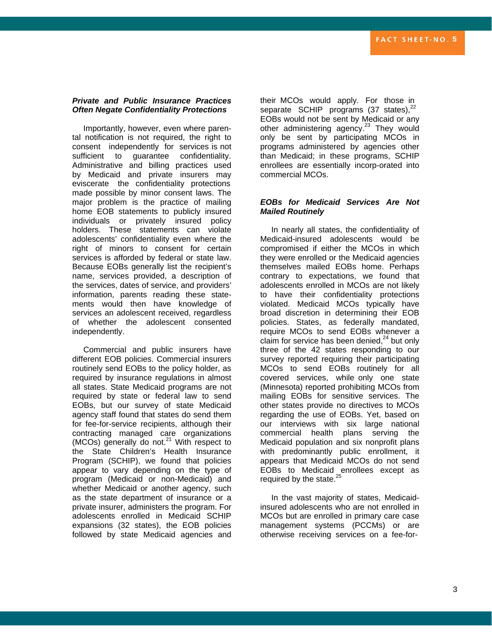### *Private and Public Insurance Practices Often Negate Confidentiality Protections*

 Importantly, however, even where parental notification is not required, the right to consent independently for services is not sufficient to quarantee confidentiality. Administrative and billing practices used by Medicaid and private insurers may eviscerate the confidentiality protections made possible by minor consent laws. The major problem is the practice of mailing home EOB statements to publicly insured individuals or privately insured policy holders. These statements can violate adolescents' confidentiality even where the right of minors to consent for certain services is afforded by federal or state law. Because EOBs generally list the recipient's name, services provided, a description of the services, dates of service, and providers' information, parents reading these statements would then have knowledge of services an adolescent received, regardless of whether the adolescent consented independently.

 Commercial and public insurers have different EOB policies. Commercial insurers routinely send EOBs to the policy holder, as required by insurance regulations in almost all states. State Medicaid programs are not required by state or federal law to send EOBs, but our survey of state Medicaid agency staff found that states do send them for fee-for-service recipients, although their contracting managed care organizations (MCOs) generally do not. $21$  With respect to the State Children's Health Insurance Program (SCHIP), we found that policies appear to vary depending on the type of program (Medicaid or non-Medicaid) and whether Medicaid or another agency, such as the state department of insurance or a private insurer, administers the program. For adolescents enrolled in Medicaid SCHIP expansions (32 states), the EOB policies followed by state Medicaid agencies and

their MCOs would apply. For those in separate SCHIP programs  $(37 \text{ states})$ ,<sup>2</sup> EOBs would not be sent by Medicaid or any other administering agency.<sup>23</sup> They would only be sent by participating MCOs in programs administered by agencies other than Medicaid; in these programs, SCHIP enrollees are essentially incorp-orated into commercial MCOs.

#### *EOBs for Medicaid Services Are Not Mailed Routinely*

 In nearly all states, the confidentiality of Medicaid-insured adolescents would be compromised if either the MCOs in which they were enrolled or the Medicaid agencies themselves mailed EOBs home. Perhaps contrary to expectations, we found that adolescents enrolled in MCOs are not likely to have their confidentiality protections violated. Medicaid MCOs typically have broad discretion in determining their EOB policies. States, as federally mandated, require MCOs to send EOBs whenever a claim for service has been denied, $24$  but only three of the 42 states responding to our survey reported requiring their participating MCOs to send EOBs routinely for all covered services, while only one state (Minnesota) reported prohibiting MCOs from mailing EOBs for sensitive services. The other states provide no directives to MCOs regarding the use of EOBs. Yet, based on our interviews with six large national commercial health plans serving the Medicaid population and six nonprofit plans with predominantly public enrollment, it appears that Medicaid MCOs do not send EOBs to Medicaid enrollees except as required by the state.<sup>25</sup>

 In the vast majority of states, Medicaidinsured adolescents who are not enrolled in MCOs but are enrolled in primary care case management systems (PCCMs) or are otherwise receiving services on a fee-for-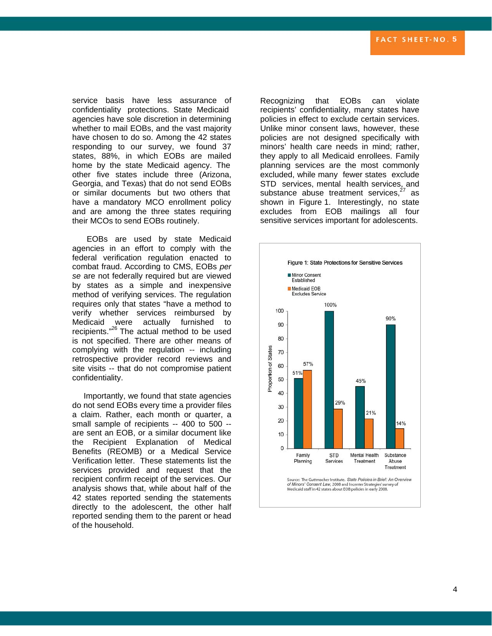service basis have less assurance of confidentiality protections. State Medicaid agencies have sole discretion in determining whether to mail EOBs, and the vast majority have chosen to do so. Among the 42 states responding to our survey, we found 37 states, 88%, in which EOBs are mailed home by the state Medicaid agency. The other five states include three (Arizona, Georgia, and Texas) that do not send EOBs or similar documents but two others that have a mandatory MCO enrollment policy and are among the three states requiring their MCOs to send EOBs routinely.

EOBs are used by state Medicaid agencies in an effort to comply with the federal verification regulation enacted to combat fraud. According to CMS, EOBs *per se* are not federally required but are viewed by states as a simple and inexpensive method of verifying services. The regulation requires only that states "have a method to verify whether services reimbursed by Medicaid were actually furnished to recipients."26 The actual method to be used is not specified. There are other means of complying with the regulation -- including retrospective provider record reviews and site visits -- that do not compromise patient confidentiality.

 Importantly, we found that state agencies do not send EOBs every time a provider files a claim. Rather, each month or quarter, a small sample of recipients -- 400 to 500 - are sent an EOB, or a similar document like the Recipient Explanation of Medical Benefits (REOMB) or a Medical Service Verification letter. These statements list the services provided and request that the recipient confirm receipt of the services. Our analysis shows that, while about half of the 42 states reported sending the statements directly to the adolescent, the other half reported sending them to the parent or head of the household.

Recognizing that EOBs can violate recipients' confidentiality, many states have policies in effect to exclude certain services. Unlike minor consent laws, however, these policies are not designed specifically with minors' health care needs in mind; rather, they apply to all Medicaid enrollees. Family planning services are the most commonly excluded, while many fewer states exclude STD services, mental health services, and substance abuse treatment services, $27$  as shown in Figure 1. Interestingly, no state excludes from EOB mailings all four sensitive services important for adolescents.

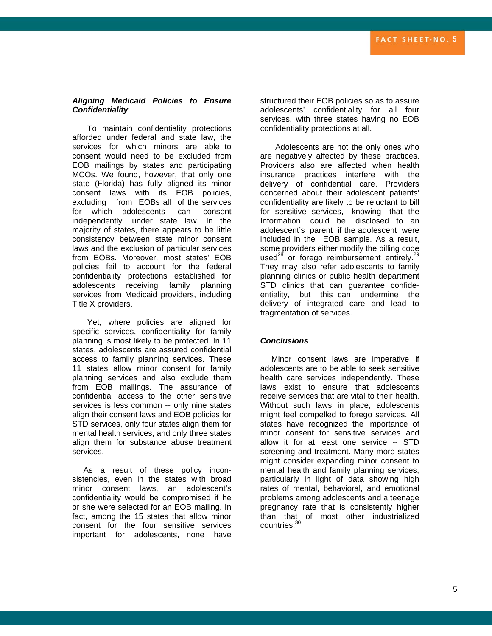#### *Aligning Medicaid Policies to Ensure Confidentiality*

To maintain confidentiality protections afforded under federal and state law, the services for which minors are able to consent would need to be excluded from EOB mailings by states and participating MCOs. We found, however, that only one state (Florida) has fully aligned its minor consent laws with its EOB policies, excluding from EOBs all of the services for which adolescents can consent independently under state law. In the majority of states, there appears to be little consistency between state minor consent laws and the exclusion of particular services from EOBs. Moreover, most states' EOB policies fail to account for the federal confidentiality protections established for adolescents receiving family planning services from Medicaid providers, including Title X providers.

Yet, where policies are aligned for specific services, confidentiality for family planning is most likely to be protected. In 11 states, adolescents are assured confidential access to family planning services. These 11 states allow minor consent for family planning services and also exclude them from EOB mailings. The assurance of confidential access to the other sensitive services is less common -- only nine states align their consent laws and EOB policies for STD services, only four states align them for mental health services, and only three states align them for substance abuse treatment services.

 As a result of these policy inconsistencies, even in the states with broad minor consent laws, an adolescent's confidentiality would be compromised if he or she were selected for an EOB mailing. In fact, among the 15 states that allow minor consent for the four sensitive services important for adolescents, none have

structured their EOB policies so as to assure adolescents' confidentiality for all four services, with three states having no EOB confidentiality protections at all.

Adolescents are not the only ones who are negatively affected by these practices. Providers also are affected when health insurance practices interfere with the delivery of confidential care. Providers concerned about their adolescent patients' confidentiality are likely to be reluctant to bill for sensitive services, knowing that the Information could be disclosed to an adolescent's parent if the adolescent were included in the EOB sample. As a result, some providers either modify the billing code used $^{28}$  or forego reimbursement entirely.<sup>29</sup> They may also refer adolescents to family planning clinics or public health department STD clinics that can guarantee confideentiality, but this canundermine the delivery of integrated care and lead to fragmentation of services.

#### *Conclusions*

 Minor consent laws are imperative if adolescents are to be able to seek sensitive health care services independently. These laws exist to ensure that adolescents receive services that are vital to their health. Without such laws in place, adolescents might feel compelled to forego services. All states have recognized the importance of minor consent for sensitive services and allow it for at least one service -- STD screening and treatment. Many more states might consider expanding minor consent to mental health and family planning services, particularly in light of data showing high rates of mental, behavioral, and emotional problems among adolescents and a teenage pregnancy rate that is consistently higher than that of most other industrialized countries.<sup>30</sup>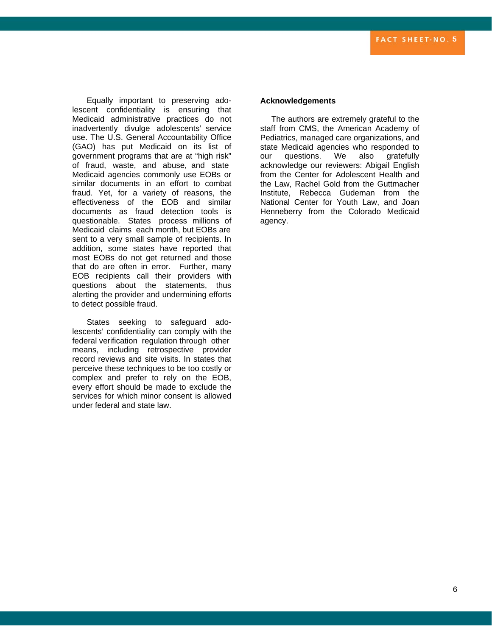Equally important to preserving adolescent confidentiality is ensuring that Medicaid administrative practices do not inadvertently divulge adolescents' service use. The U.S. General Accountability Office (GAO) has put Medicaid on its list of government programs that are at "high risk" of fraud, waste, and abuse, and state Medicaid agencies commonly use EOBs or similar documents in an effort to combat fraud. Yet, for a variety of reasons, the effectiveness of the EOB and similar documents as fraud detection tools is questionable. States process millions of Medicaid claims each month, but EOBs are sent to a very small sample of recipients. In addition, some states have reported that most EOBs do not get returned and those that do are often in error. Further, many EOB recipients call their providers with questions about the statements, thus alerting the provider and undermining efforts to detect possible fraud.

States seeking to safeguard adolescents' confidentiality can comply with the federal verification regulation through other means, including retrospective provider record reviews and site visits. In states that perceive these techniques to be too costly or complex and prefer to rely on the EOB, every effort should be made to exclude the services for which minor consent is allowed under federal and state law.

#### **Acknowledgements**

 The authors are extremely grateful to the staff from CMS, the American Academy of Pediatrics, managed care organizations, and state Medicaid agencies who responded to our questions. We also gratefully acknowledge our reviewers: Abigail English from the Center for Adolescent Health and the Law, Rachel Gold from the Guttmacher Institute, Rebecca Gudeman from the National Center for Youth Law, and Joan Henneberry from the Colorado Medicaid agency.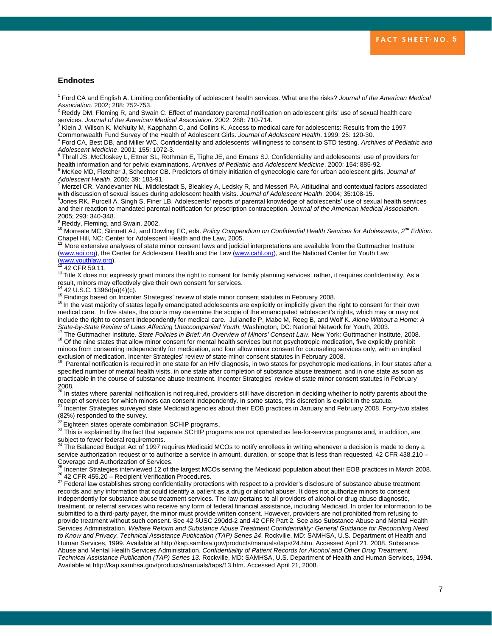#### **Endnotes**

1 Ford CA and English A. Limiting confidentiality of adolescent health services. What are the risks? *Journal of the American Medical* 

*Association*. 2002; 288: 752-753.<br><sup>2</sup> Reddy DM, Fleming R, and Swain C. Effect of mandatory parental notification on adolescent girls' use of sexual health care

services. *Journal of the American Medical Association.* 2002; 288: 710-714.<br><sup>3</sup> Klein J, Wilson K, McNulty M, Kapphahn C, and Collins K. Access to medical care for adolescents: Results from the 1997

Commonwealth Fund Survey of the Health of Adolescent Girls. *Journal of Adolescent Health*. 1999; 25: 120-30.<br><sup>4</sup> Ford CA, Best DB, and Miller WC. Confidentiality and adolescents' willingness to consent to STD testing. *Ar Adolescent Medicine*. 2001; 155: 1072-3. 5

 Thrall JS, McCloskey L, Ettner SL, Rothman E, Tighe JE, and Emans SJ. Confidentiality and adolescents' use of providers for health information and for pelvic examinations. *Archives of Pediatric and Adolescent Medicine*. 2000; 154: 885-92. 6

<sup>6</sup> McKee MD, Fletcher J, Schechter CB. Predictors of timely initiation of gynecologic care for urban adolescent girls. *Journal of Adolescent Health*. 2006; 39: 183-91. 7

 Merzel CR, Vandevanter NL, Middlestadt S, Bleakley A, Ledsky R, and Messeri PA. Attitudinal and contextual factors associated with discussion of sexual issues during adolescent health visits. *Journal of Adolescent Health*. 2004; 35:108-15. 8

<sup>8</sup>Jones RK, Purcell A, Singh S, Finer LB. Adolescents' reports of parental knowledge of adolescents' use of sexual health services and their reaction to mandated parental notification for prescription contraception. *Journal of the American Medical Association*. 2005; 293: 340-348.

<sup>9</sup> Reddy, Fleming, and Swain, 2002.

10 Morreale MC, Stinnett AJ, and Dowling EC, eds. *Policy Compendium on Confidential Health Services for Adolescents, 2nd Edition*. Chapel Hill, NC: Center for Adolescent Health and the Law, 2005.

**<sup>11</sup>**More extensive analyses of state minor consent laws and judicial interpretations are available from the Guttmacher Institute ([www.agi.org\)](http://www.agi.org/), the Center for Adolescent Health and the Law ([www.cahl.org\)](http://www.cahl.org/), and the National Center for Youth Law<br>(www.youthlaw.org).

 $\frac{12}{12}$  $\frac{12}{12}$  $\frac{12}{12}$  42 CFR 59.11.<br><sup>13</sup> Title X does not expressly grant minors the right to consent for family planning services; rather, it requires confidentiality. As a<br>result, minors may effectively give their own consent for

<sup>14</sup> 42 U.S.C. 1396d(a)(4)(c).<br><sup>15</sup> Findings based on Incenter Strategies' review of state minor consent statutes in February 2008.<br><sup>16</sup> In the vast majority of states legally emancipated adolescents are explicitly or impl medical care. In five states, the courts may determine the scope of the emancipated adolescent's rights, which may or may not include the right to consent independently for medical care. Julianelle P, Mabe M, Reeg B, and Wolf K. *Alone Without a Home: A*  State-by-State Review of Laws Affecting Unaccompanied Youth. Washington, DC: National Network for Youth, 2003.<br><sup>17</sup> The Guttmacher Institute. State Policies in Brief: An Overview of Minors' Consent Law. New York: Guttmache

minors from consenting independently for medication, and four allow minor consent for counseling services only, with an implied exclusion of medication. Incenter Strategies' review of state minor consent statutes in February 2008.<br><sup>19</sup> Parental notification is required in one state for an HIV diagnosis, in two states for psychotropic medications, i

specified number of mental health visits, in one state after completion of substance abuse treatment, and in one state as soon as practicable in the course of substance abuse treatment. Incenter Strategies' review of state minor consent statutes in February 2008.

<sup>20</sup> In states where parental notification is not required, providers still have discretion in deciding whether to notify parents about the receipt of services for which minors can consent independently. In some states, this discretion is explicit in the statute.<br><sup>21</sup> Incenter Strategies surveyed state Medicaid agencies about their EOB practices in January and

(82%) responded to the survey.<br><sup>22</sup> Eighteen states operate combination SCHIP programs.

<sup>23</sup> This is explained by the fact that separate SCHIP programs are not operated as fee-for-service programs and, in addition, are subject to fewer federal requirements.<br><sup>24</sup> The Balanced Budget Act of 1997 requires Medicaid MCOs to notify enrollees in writing whenever a decision is made to deny a

service authorization request or to authorize a service in amount, duration, or scope that is less than requested. 42 CFR 438.210 -

Coverage and Authorization of Services.<br><sup>25</sup> Incenter Strategies interviewed 12 of the largest MCOs serving the Medicaid population about their EOB practices in March 2008.<br><sup>26</sup> 42 CFR 455.20 – Recipient Verification Proce

records and any information that could identify a patient as a drug or alcohol abuser. It does not authorize minors to consent independently for substance abuse treatment services. The law pertains to all providers of alcohol or drug abuse diagnostic, treatment, or referral services who receive any form of federal financial assistance, including Medicaid. In order for information to be submitted to a third-party payer, the minor must provide written consent. However, providers are not prohibited from refusing to provide treatment without such consent. See 42 §USC 290dd-2 and 42 CFR Part 2. See also Substance Abuse and Mental Health Services Administration. *Welfare Reform and Substance Abuse Treatment Confidentiality: General Guidance for Reconciling Need to Know and Privacy. Technical Assistance Publication (TAP) Series 24*. Rockville, MD: SAMHSA, U.S. Department of Health and Human Services, 1999. Available at http://kap.samhsa.gov/products/manuals/taps/24.htm. Accessed April 21, 2008. Substance Abuse and Mental Health Services Administration. *Confidentiality of Patient Records for Alcohol and Other Drug Treatment. Technical Assistance Publication (TAP) Series 13*. Rockville, MD: SAMHSA, U.S. Department of Health and Human Services, 1994. Available at http://kap.samhsa.gov/products/manuals/taps/13.htm. Accessed April 21, 2008.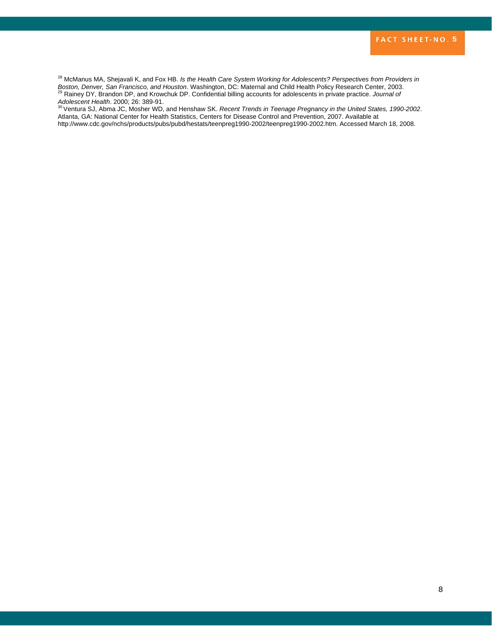<sup>28</sup> McManus MA, Shejavali K, and Fox HB. *Is the Health Care System Working for Adolescents? Perspectives from Providers in* Boston, Denver, San Francisco, and Houston. Washington, DC: Maternal and Child Health Policy Research Center, 2003.<br><sup>29</sup> Rainey DY, Brandon DP, and Krowchuk DP. Confidential billing accounts for adolescents in private prac *Adolescent Health*. 2000; 26: 389-91. 30 Ventura SJ, Abma JC, Mosher WD, and Henshaw SK. *Recent Trends in Teenage Pregnancy in the United States, 1990-2002*.

Atlanta, GA: National Center for Health Statistics, Centers for Disease Control and Prevention, 2007. Available at http://www.cdc.gov/nchs/products/pubs/pubd/hestats/teenpreg1990-2002/teenpreg1990-2002.htm. Accessed March 18, 2008.